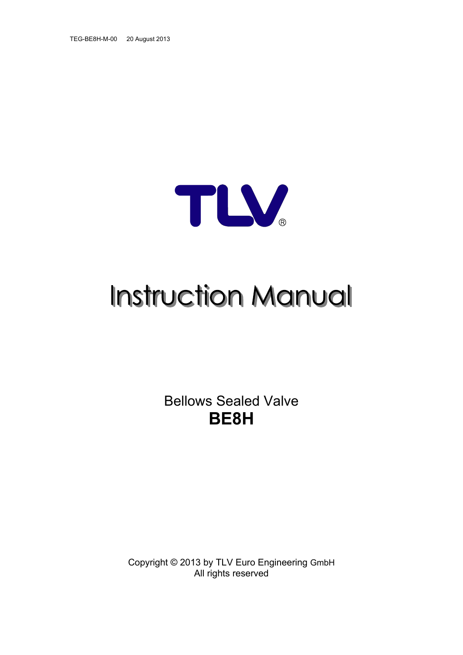TEG-BE8H-M-00 20 August 2013



# **Instruction Manual**

Bellows Sealed Valve **BE8H** 

Copyright © 2013 by TLV Euro Engineering GmbH All rights reserved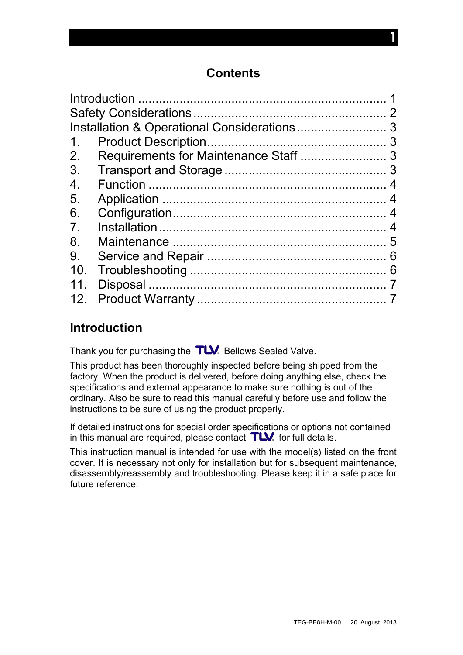## **Contents**

| 1.              |                |
|-----------------|----------------|
| 2.              |                |
| 3.              |                |
| 4.              |                |
| 5.              |                |
| 6.              |                |
| 7 <sub>1</sub>  | $\overline{4}$ |
| 8.              |                |
| 9.              |                |
| 10 <sub>1</sub> |                |
| 11 <sub>1</sub> |                |
| 12 <sub>1</sub> |                |
|                 |                |

## <span id="page-1-0"></span>**Introduction**

Thank you for purchasing the  $TLV$ . Bellows Sealed Valve.

This product has been thoroughly inspected before being shipped from the factory. When the product is delivered, before doing anything else, check the specifications and external appearance to make sure nothing is out of the ordinary. Also be sure to read this manual carefully before use and follow the instructions to be sure of using the product properly.

If detailed instructions for special order specifications or options not contained in this manual are required, please contact  $T\mathbf{W}$  for full details.

This instruction manual is intended for use with the model(s) listed on the front cover. It is necessary not only for installation but for subsequent maintenance, disassembly/reassembly and troubleshooting. Please keep it in a safe place for future reference.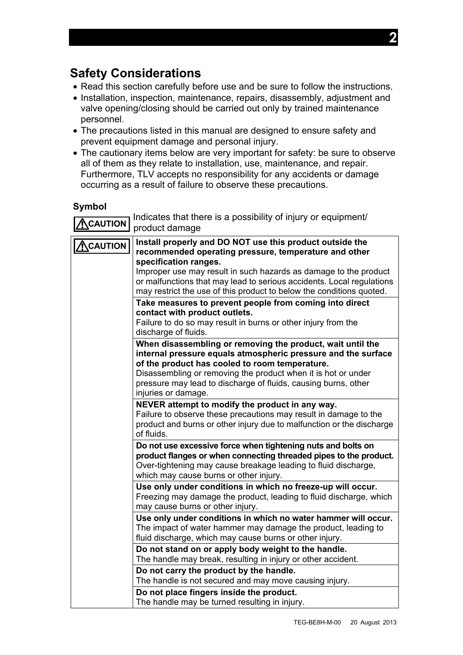## <span id="page-2-0"></span>**Safety Considerations**

- Read this section carefully before use and be sure to follow the instructions.
- Installation, inspection, maintenance, repairs, disassembly, adjustment and valve opening/closing should be carried out only by trained maintenance personnel.
- The precautions listed in this manual are designed to ensure safety and prevent equipment damage and personal injury.
- The cautionary items below are very important for safety: be sure to observe all of them as they relate to installation, use, maintenance, and repair. Furthermore, TLV accepts no responsibility for any accidents or damage occurring as a result of failure to observe these precautions.

#### **Symbol**

**CAUTION** Indicates that there is a possibility of injury or equipment/ product damage

| <b>NCAUTION</b> | Install properly and DO NOT use this product outside the<br>recommended operating pressure, temperature and other<br>specification ranges.<br>Improper use may result in such hazards as damage to the product<br>or malfunctions that may lead to serious accidents. Local regulations<br>may restrict the use of this product to below the conditions quoted. |
|-----------------|-----------------------------------------------------------------------------------------------------------------------------------------------------------------------------------------------------------------------------------------------------------------------------------------------------------------------------------------------------------------|
|                 | Take measures to prevent people from coming into direct<br>contact with product outlets.<br>Failure to do so may result in burns or other injury from the<br>discharge of fluids.                                                                                                                                                                               |
|                 | When disassembling or removing the product, wait until the<br>internal pressure equals atmospheric pressure and the surface<br>of the product has cooled to room temperature.<br>Disassembling or removing the product when it is hot or under<br>pressure may lead to discharge of fluids, causing burns, other<br>injuries or damage.                         |
|                 | NEVER attempt to modify the product in any way.<br>Failure to observe these precautions may result in damage to the<br>product and burns or other injury due to malfunction or the discharge<br>of fluids.                                                                                                                                                      |
|                 | Do not use excessive force when tightening nuts and bolts on<br>product flanges or when connecting threaded pipes to the product.<br>Over-tightening may cause breakage leading to fluid discharge,<br>which may cause burns or other injury.                                                                                                                   |
|                 | Use only under conditions in which no freeze-up will occur.<br>Freezing may damage the product, leading to fluid discharge, which<br>may cause burns or other injury.                                                                                                                                                                                           |
|                 | Use only under conditions in which no water hammer will occur.<br>The impact of water hammer may damage the product, leading to<br>fluid discharge, which may cause burns or other injury.                                                                                                                                                                      |
|                 | Do not stand on or apply body weight to the handle.<br>The handle may break, resulting in injury or other accident.                                                                                                                                                                                                                                             |
|                 | Do not carry the product by the handle.<br>The handle is not secured and may move causing injury.                                                                                                                                                                                                                                                               |
|                 | Do not place fingers inside the product.<br>The handle may be turned resulting in injury.                                                                                                                                                                                                                                                                       |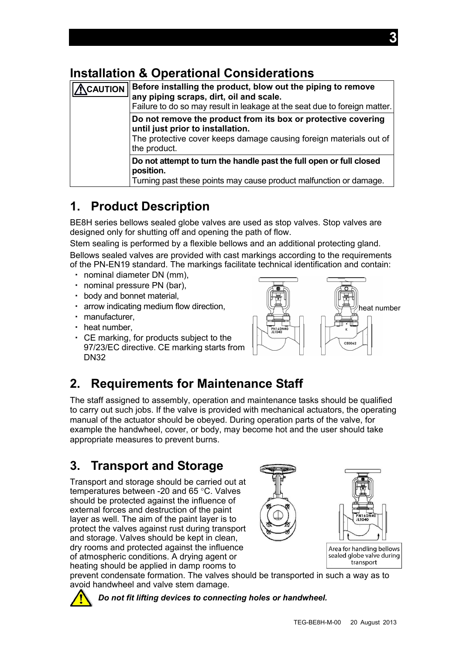# <span id="page-3-0"></span>**Installation & Operational Considerations**

| <b>CAUTION</b> | Before installing the product, blow out the piping to remove<br>any piping scraps, dirt, oil and scale.<br>Failure to do so may result in leakage at the seat due to foreign matter.     |
|----------------|------------------------------------------------------------------------------------------------------------------------------------------------------------------------------------------|
|                | Do not remove the product from its box or protective covering<br>until just prior to installation.<br>The protective cover keeps damage causing foreign materials out of<br>the product. |
|                | Do not attempt to turn the handle past the full open or full closed<br>position.<br>Turning past these points may cause product malfunction or damage.                                   |

# <span id="page-3-1"></span>**1. Product Description**

BE8H series bellows sealed globe valves are used as stop valves. Stop valves are designed only for shutting off and opening the path of flow.

Stem sealing is performed by a flexible bellows and an additional protecting gland. Bellows sealed valves are provided with cast markings according to the requirements of the PN-EN19 standard. The markings facilitate technical identification and contain:

- ・ nominal diameter DN (mm),
- ・ nominal pressure PN (bar),
- ・ body and bonnet material,
- ・ arrow indicating medium flow direction,
- ・ manufacturer,
- ・ heat number,
- ・ CE marking, for products subject to the 97/23/EC directive. CE marking starts from DN32



# <span id="page-3-2"></span>**2. Requirements for Maintenance Staff**

The staff assigned to assembly, operation and maintenance tasks should be qualified to carry out such jobs. If the valve is provided with mechanical actuators, the operating manual of the actuator should be obeyed. During operation parts of the valve, for example the handwheel, cover, or body, may become hot and the user should take appropriate measures to prevent burns.

# <span id="page-3-3"></span>**3. Transport and Storage**

Transport and storage should be carried out at temperatures between -20 and 65 °C. Valves should be protected against the influence of external forces and destruction of the paint layer as well. The aim of the paint layer is to protect the valves against rust during transport and storage. Valves should be kept in clean, dry rooms and protected against the influence of atmospheric conditions. A drying agent or heating should be applied in damp rooms to



prevent condensate formation. The valves should be transported in such a way as to avoid handwheel and valve stem damage.

*Do not fit lifting devices to connecting holes or handwheel.*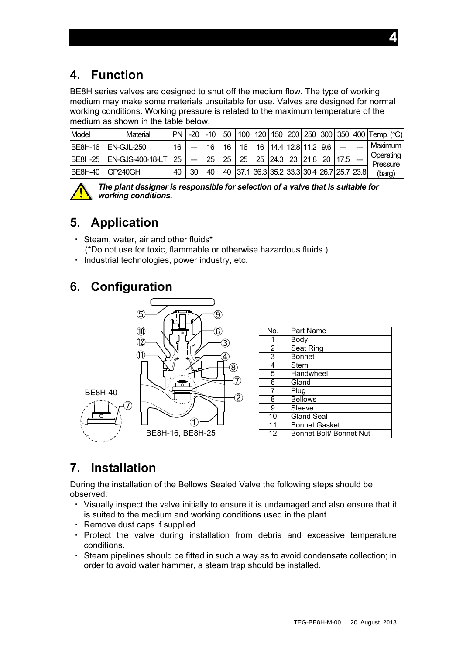<span id="page-4-0"></span>BE8H series valves are designed to shut off the medium flow. The type of working medium may make some materials unsuitable for use. Valves are designed for normal working conditions. Working pressure is related to the maximum temperature of the medium as shown in the table below.

| Model           | Material                | <b>PN</b> | $-20$ | $-10$ |    |    |                                            |  |  | 50   100   120   150   200   250   300   350   400   Temp. (°C) |
|-----------------|-------------------------|-----------|-------|-------|----|----|--------------------------------------------|--|--|-----------------------------------------------------------------|
| <b>IBE8H-16</b> | <b>EN-GJL-250</b>       | 16        |       | 16    | 16 | 16 | 16   14.4   12.8   11.2   9.6              |  |  | Maximum                                                         |
| IBF8H-25        | <b>EN-GJS-400-18-LT</b> | 25        |       | 25    | 25 | 25 | 25 24.3 23 21.8 20 17.5                    |  |  | Operating<br>Pressure                                           |
| IBE8H-40        | GP240GH                 | 40        | 30    | 40    |    |    | 40 37.1 36.3 35.2 33.3 30.4 26.7 25.7 23.8 |  |  | (barg)                                                          |



*The plant designer is responsible for selection of a valve that is suitable for working conditions.* 

# <span id="page-4-1"></span>**5. Application**

- ・ Steam, water, air and other fluids\* (\*Do not use for toxic, flammable or otherwise hazardous fluids.)
- ・ Industrial technologies, power industry, etc.

# <span id="page-4-2"></span>**6. Configuration**



# <span id="page-4-3"></span>**7. Installation**

During the installation of the Bellows Sealed Valve the following steps should be observed:

- ・ Visually inspect the valve initially to ensure it is undamaged and also ensure that it is suited to the medium and working conditions used in the plant.
- ・ Remove dust caps if supplied.
- ・ Protect the valve during installation from debris and excessive temperature conditions.
- ・ Steam pipelines should be fitted in such a way as to avoid condensate collection; in order to avoid water hammer, a steam trap should be installed.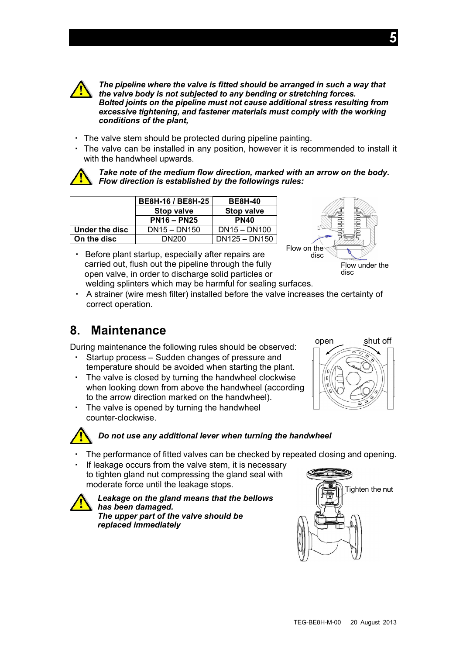

*The pipeline where the valve is fitted should be arranged in such a way that the valve body is not subjected to any bending or stretching forces. Bolted joints on the pipeline must not cause additional stress resulting from excessive tightening, and fastener materials must comply with the working conditions of the plant,* 

- ・ The valve stem should be protected during pipeline painting.
- ・ The valve can be installed in any position, however it is recommended to install it with the handwheel upwards.



*Take note of the medium flow direction, marked with an arrow on the body. Flow direction is established by the followings rules:*

|                | BE8H-16 / BE8H-25 | <b>BE8H-40</b>    |
|----------------|-------------------|-------------------|
|                | <b>Stop valve</b> | <b>Stop valve</b> |
|                | $PN16 - PN25$     | <b>PN40</b>       |
| Under the disc | $DN15 - DN150$    | $DN15 - DN100$    |
| On the disc    | DN200             | $DN125 - DN150$   |

・ Before plant startup, especially after repairs are carried out, flush out the pipeline through the fully open valve, in order to discharge solid particles or disc welding splinters which may be harmful for sealing surfaces.



・ A strainer (wire mesh filter) installed before the valve increases the certainty of correct operation.

## <span id="page-5-0"></span>**8. Maintenance**

During maintenance the following rules should be observed: open shut off

- ・ Startup process Sudden changes of pressure and temperature should be avoided when starting the plant.
- ・ The valve is closed by turning the handwheel clockwise when looking down from above the handwheel (according to the arrow direction marked on the handwheel).
- ・ The valve is opened by turning the handwheel counter-clockwise.

## *Do not use any additional lever when turning the handwheel*

- The performance of fitted valves can be checked by repeated closing and opening.
- If leakage occurs from the valve stem, it is necessary to tighten gland nut compressing the gland seal with moderate force until the leakage stops.

*Leakage on the gland means that the bellows has been damaged. The upper part of the valve should be replaced immediately* 

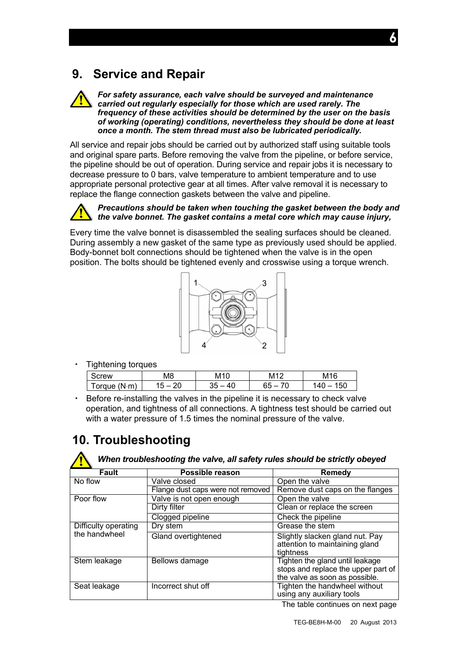## <span id="page-6-0"></span>**9. Service and Repair**

#### *For safety assurance, each valve should be surveyed and maintenance carried out regularly especially for those which are used rarely. The frequency of these activities should be determined by the user on the basis of working (operating) conditions, nevertheless they should be done at least once a month. The stem thread must also be lubricated periodically.*

All service and repair jobs should be carried out by authorized staff using suitable tools and original spare parts. Before removing the valve from the pipeline, or before service, the pipeline should be out of operation. During service and repair jobs it is necessary to decrease pressure to 0 bars, valve temperature to ambient temperature and to use appropriate personal protective gear at all times. After valve removal it is necessary to replace the flange connection gaskets between the valve and pipeline.

#### *Precautions should be taken when touching the gasket between the body and the valve bonnet. The gasket contains a metal core which may cause injury,*

Every time the valve bonnet is disassembled the sealing surfaces should be cleaned. During assembly a new gasket of the same type as previously used should be applied. Body-bonnet bolt connections should be tightened when the valve is in the open position. The bolts should be tightened evenly and crosswise using a torque wrench.



・ Tightening torques

| --<br>. .      |    |                           |                          |                 |
|----------------|----|---------------------------|--------------------------|-----------------|
| rew            | M8 | M <sub>10</sub>           | – M1⊆                    | M <sub>16</sub> |
| (N.m)<br>orque | ົ  | $\Delta \Gamma$<br>ັ<br>╰ | $\overline{\phantom{a}}$ | 50<br>40        |

・ Before re-installing the valves in the pipeline it is necessary to check valve operation, and tightness of all connections. A tightness test should be carried out with a water pressure of 1.5 times the nominal pressure of the valve.

# <span id="page-6-1"></span>**10. Troubleshooting**

*When troubleshooting the valve, all safety rules should be strictly obeyed* 

| <b>Fault</b>         | Possible reason                   | <b>Remedy</b>                                                                                            |  |  |  |
|----------------------|-----------------------------------|----------------------------------------------------------------------------------------------------------|--|--|--|
| No flow              | Valve closed                      | Open the valve                                                                                           |  |  |  |
|                      | Flange dust caps were not removed | Remove dust caps on the flanges                                                                          |  |  |  |
| Poor flow            | Valve is not open enough          | Open the valve                                                                                           |  |  |  |
|                      | Dirty filter                      | Clean or replace the screen                                                                              |  |  |  |
|                      | Clogged pipeline                  | Check the pipeline                                                                                       |  |  |  |
| Difficulty operating | Dry stem                          | Grease the stem                                                                                          |  |  |  |
| the handwheel        | Gland overtightened               | Slightly slacken gland nut. Pay<br>attention to maintaining gland<br>tightness                           |  |  |  |
| Stem leakage         | Bellows damage                    | Tighten the gland until leakage<br>stops and replace the upper part of<br>the valve as soon as possible. |  |  |  |
| Seat leakage         | Incorrect shut off                | Tighten the handwheel without<br>using any auxiliary tools                                               |  |  |  |

The table continues on next page